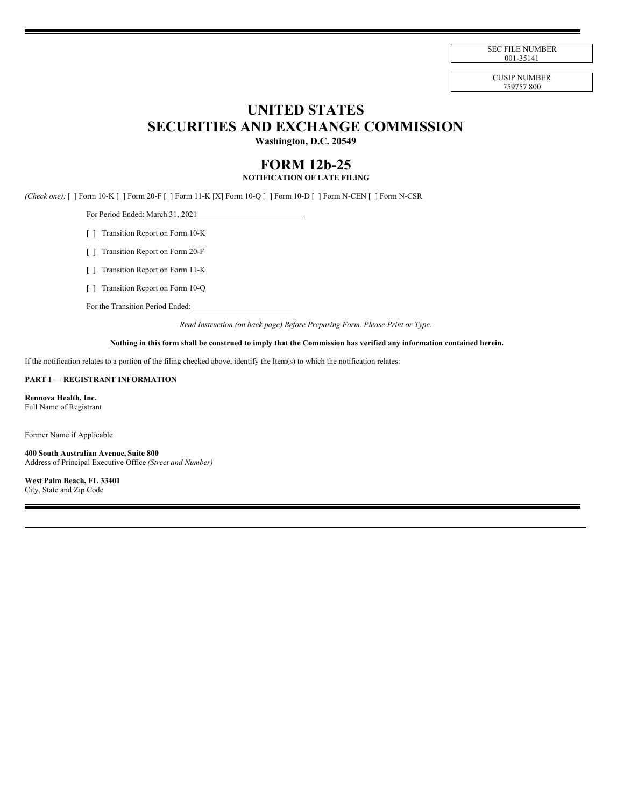SEC FILE NUMBER 001-35141

CUSIP NUMBER 759757 800

# **UNITED STATES SECURITIES AND EXCHANGE COMMISSION**

**Washington, D.C. 20549**

# **FORM 12b-25 NOTIFICATION OF LATE FILING**

*(Check one):* [ ] Form 10-K [ ] Form 20-F [ ] Form 11-K [X] Form 10-Q [ ] Form 10-D [ ] Form N-CEN [ ] Form N-CSR

For Period Ended: March 31, 2021

[ ] Transition Report on Form 10-K

[ ] Transition Report on Form 20-F

[ ] Transition Report on Form 11-K

[ ] Transition Report on Form 10-Q

For the Transition Period Ended:

*Read Instruction (on back page) Before Preparing Form. Please Print or Type.*

# Nothing in this form shall be construed to imply that the Commission has verified any information contained herein.

If the notification relates to a portion of the filing checked above, identify the Item(s) to which the notification relates:

#### **PART I — REGISTRANT INFORMATION**

**Rennova Health, Inc.** Full Name of Registrant

Former Name if Applicable

**400 South Australian Avenue, Suite 800** Address of Principal Executive Office *(Street and Number)*

**West Palm Beach, FL 33401** City, State and Zip Code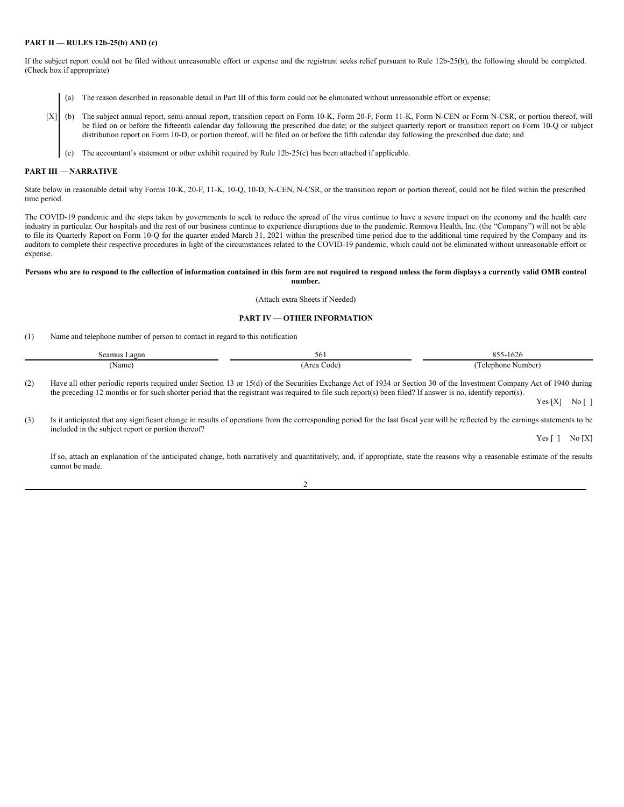### **PART II — RULES 12b-25(b) AND (c)**

If the subject report could not be filed without unreasonable effort or expense and the registrant seeks relief pursuant to Rule 12b-25(b), the following should be completed. (Check box if appropriate)

- (a) The reason described in reasonable detail in Part III of this form could not be eliminated without unreasonable effort or expense;
- [X] (b) The subject annual report, semi-annual report, transition report on Form 10-K, Form 20-F, Form 11-K, Form N-CEN or Form N-CSR, or portion thereof, will be filed on or before the fifteenth calendar day following the prescribed due date; or the subject quarterly report or transition report on Form 10-Q or subject distribution report on Form 10-D, or portion thereof, will be filed on or before the fifth calendar day following the prescribed due date; and
	- (c) The accountant's statement or other exhibit required by Rule 12b-25(c) has been attached if applicable.

#### **PART III — NARRATIVE**

State below in reasonable detail why Forms 10-K, 20-F, 11-K, 10-Q, 10-D, N-CEN, N-CSR, or the transition report or portion thereof, could not be filed within the prescribed time period.

The COVID-19 pandemic and the steps taken by governments to seek to reduce the spread of the virus continue to have a severe impact on the economy and the health care industry in particular. Our hospitals and the rest of our business continue to experience disruptions due to the pandemic. Rennova Health, Inc. (the "Company") will not be able to file its Quarterly Report on Form 10-Q for the quarter ended March 31, 2021 within the prescribed time period due to the additional time required by the Company and its auditors to complete their respective procedures in light of the circumstances related to the COVID-19 pandemic, which could not be eliminated without unreasonable effort or expense.

#### Persons who are to respond to the collection of information contained in this form are not required to respond unless the form displays a currently valid OMB control **number.**

(Attach extra Sheets if Needed)

## **PART IV — OTHER INFORMATION**

(1) Name and telephone number of person to contact in regard to this notification

| Seamus Lagan | 56'                   | 055<br>$\sim$ $\sim$<br>$2 - 1026$<br>ບຸ<br>. |
|--------------|-----------------------|-----------------------------------------------|
| [Name]       | : Area (<br>Code<br>. | relephone Number)                             |

(2) Have all other periodic reports required under Section 13 or 15(d) of the Securities Exchange Act of 1934 or Section 30 of the Investment Company Act of 1940 during the preceding 12 months or for such shorter period that the registrant was required to file such report(s) been filed? If answer is no, identify report(s).

 $Yes [X] No [ ]$ 

(3) Is it anticipated that any significant change in results of operations from the corresponding period for the last fiscal year will be reflected by the earnings statements to be included in the subject report or portion thereof?

Yes [ ] No [X]

If so, attach an explanation of the anticipated change, both narratively and quantitatively, and, if appropriate, state the reasons why a reasonable estimate of the results cannot be made.

 $\mathfrak{D}$